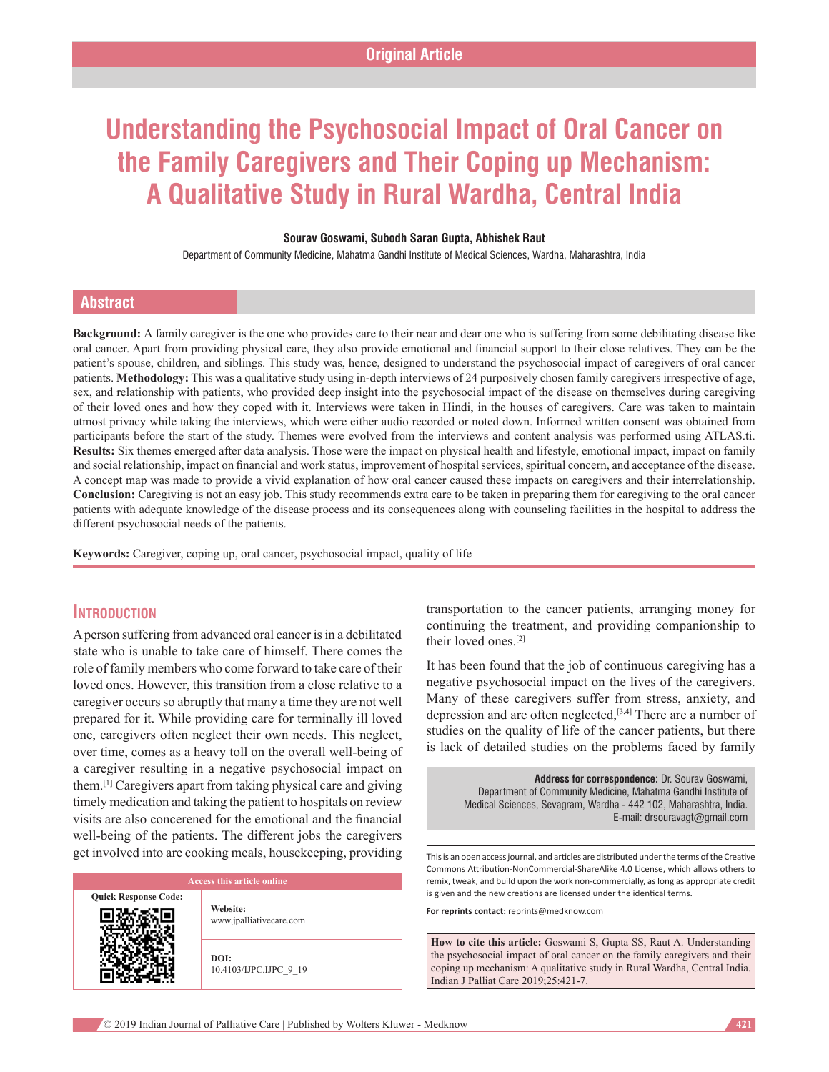# **Understanding the Psychosocial Impact of Oral Cancer on the Family Caregivers and Their Coping up Mechanism: A Qualitative Study in Rural Wardha, Central India**

#### **Sourav Goswami, Subodh Saran Gupta, Abhishek Raut**

Department of Community Medicine, Mahatma Gandhi Institute of Medical Sciences, Wardha, Maharashtra, India

# **Abstract**

**Background:** A family caregiver is the one who provides care to their near and dear one who is suffering from some debilitating disease like oral cancer. Apart from providing physical care, they also provide emotional and financial support to their close relatives. They can be the patient's spouse, children, and siblings. This study was, hence, designed to understand the psychosocial impact of caregivers of oral cancer patients. **Methodology:** This was a qualitative study using in-depth interviews of 24 purposively chosen family caregivers irrespective of age, sex, and relationship with patients, who provided deep insight into the psychosocial impact of the disease on themselves during caregiving of their loved ones and how they coped with it. Interviews were taken in Hindi, in the houses of caregivers. Care was taken to maintain utmost privacy while taking the interviews, which were either audio recorded or noted down. Informed written consent was obtained from participants before the start of the study. Themes were evolved from the interviews and content analysis was performed using ATLAS.ti. **Results:** Six themes emerged after data analysis. Those were the impact on physical health and lifestyle, emotional impact, impact on family and social relationship, impact on financial and work status, improvement of hospital services, spiritual concern, and acceptance of the disease. A concept map was made to provide a vivid explanation of how oral cancer caused these impacts on caregivers and their interrelationship. **Conclusion:** Caregiving is not an easy job. This study recommends extra care to be taken in preparing them for caregiving to the oral cancer patients with adequate knowledge of the disease process and its consequences along with counseling facilities in the hospital to address the different psychosocial needs of the patients.

**Keywords:** Caregiver, coping up, oral cancer, psychosocial impact, quality of life

# **Introduction**

A person suffering from advanced oral cancer is in a debilitated state who is unable to take care of himself. There comes the role of family members who come forward to take care of their loved ones. However, this transition from a close relative to a caregiver occurs so abruptly that many a time they are not well prepared for it. While providing care for terminally ill loved one, caregivers often neglect their own needs. This neglect, over time, comes as a heavy toll on the overall well-being of a caregiver resulting in a negative psychosocial impact on them.[1] Caregivers apart from taking physical care and giving timely medication and taking the patient to hospitals on review visits are also concerened for the emotional and the financial well-being of the patients. The different jobs the caregivers get involved into are cooking meals, housekeeping, providing

**Quick Response Code:**

**Website:** www.jpalliativecare.com

**DOI:** 10.4103/IJPC.IJPC\_9\_19 transportation to the cancer patients, arranging money for continuing the treatment, and providing companionship to their loved ones.[2]

It has been found that the job of continuous caregiving has a negative psychosocial impact on the lives of the caregivers. Many of these caregivers suffer from stress, anxiety, and depression and are often neglected,[3,4] There are a number of studies on the quality of life of the cancer patients, but there is lack of detailed studies on the problems faced by family

**Address for correspondence:** Dr. Sourav Goswami, Department of Community Medicine, Mahatma Gandhi Institute of Medical Sciences, Sevagram, Wardha ‑ 442 102, Maharashtra, India. E‑mail: drsouravagt@gmail.com

This is an open access journal, and articles are distributed under the terms of the Creative Commons Attribution-NonCommercial-ShareAlike 4.0 License, which allows others to remix, tweak, and build upon the work non-commercially, as long as appropriate credit is given and the new creations are licensed under the identical terms.

**For reprints contact:** reprints@medknow.com

**How to cite this article:** Goswami S, Gupta SS, Raut A. Understanding the psychosocial impact of oral cancer on the family caregivers and their coping up mechanism: A qualitative study in Rural Wardha, Central India. Indian J Palliat Care 2019;25:421-7.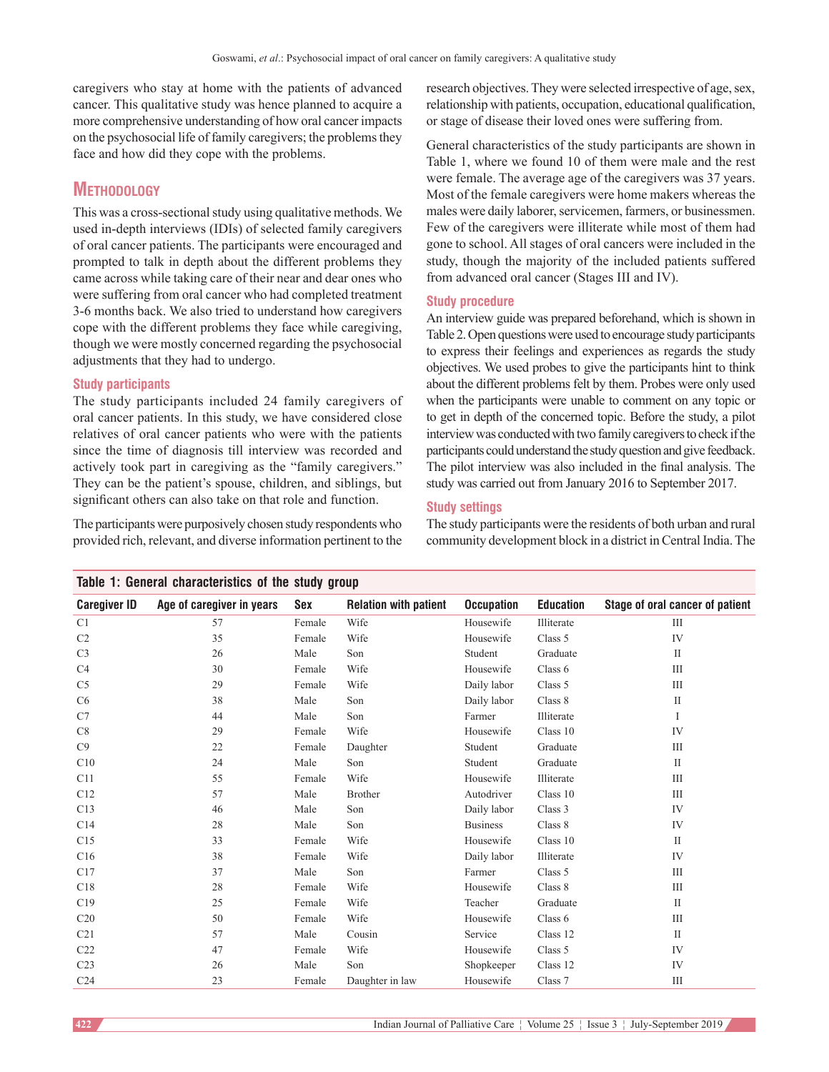caregivers who stay at home with the patients of advanced cancer. This qualitative study was hence planned to acquire a more comprehensive understanding of how oral cancer impacts on the psychosocial life of family caregivers; the problems they face and how did they cope with the problems.

# **Methodology**

This was a cross‑sectional study using qualitative methods. We used in‑depth interviews (IDIs) of selected family caregivers of oral cancer patients. The participants were encouraged and prompted to talk in depth about the different problems they came across while taking care of their near and dear ones who were suffering from oral cancer who had completed treatment 3‑6 months back. We also tried to understand how caregivers cope with the different problems they face while caregiving, though we were mostly concerned regarding the psychosocial adjustments that they had to undergo.

# **Study participants**

The study participants included 24 family caregivers of oral cancer patients. In this study, we have considered close relatives of oral cancer patients who were with the patients since the time of diagnosis till interview was recorded and actively took part in caregiving as the "family caregivers." They can be the patient's spouse, children, and siblings, but significant others can also take on that role and function.

The participants were purposively chosen study respondents who provided rich, relevant, and diverse information pertinent to the research objectives. They were selected irrespective of age, sex, relationship with patients, occupation, educational qualification, or stage of disease their loved ones were suffering from.

General characteristics of the study participants are shown in Table 1, where we found 10 of them were male and the rest were female. The average age of the caregivers was 37 years. Most of the female caregivers were home makers whereas the males were daily laborer, servicemen, farmers, or businessmen. Few of the caregivers were illiterate while most of them had gone to school. All stages of oral cancers were included in the study, though the majority of the included patients suffered from advanced oral cancer (Stages III and IV).

#### **Study procedure**

An interview guide was prepared beforehand, which is shown in Table 2. Open questions were used to encourage study participants to express their feelings and experiences as regards the study objectives. We used probes to give the participants hint to think about the different problems felt by them. Probes were only used when the participants were unable to comment on any topic or to get in depth of the concerned topic. Before the study, a pilot interview was conducted with two family caregivers to check if the participants could understand the study question and give feedback. The pilot interview was also included in the final analysis. The study was carried out from January 2016 to September 2017.

# **Study settings**

The study participants were the residents of both urban and rural community development block in a district in Central India. The

| Table 1: General characteristics of the study group |                           |        |                              |                   |                  |                                 |
|-----------------------------------------------------|---------------------------|--------|------------------------------|-------------------|------------------|---------------------------------|
| <b>Caregiver ID</b>                                 | Age of caregiver in years | Sex    | <b>Relation with patient</b> | <b>Occupation</b> | <b>Education</b> | Stage of oral cancer of patient |
| C <sub>1</sub>                                      | 57                        | Female | Wife                         | Housewife         | Illiterate       | Ш                               |
| C <sub>2</sub>                                      | 35                        | Female | Wife                         | Housewife         | Class 5          | IV                              |
| C <sub>3</sub>                                      | 26                        | Male   | Son                          | Student           | Graduate         | $\mathbf{I}$                    |
| C <sub>4</sub>                                      | 30                        | Female | Wife                         | Housewife         | Class 6          | III                             |
| C <sub>5</sub>                                      | 29                        | Female | Wife                         | Daily labor       | Class 5          | III                             |
| C <sub>6</sub>                                      | 38                        | Male   | Son                          | Daily labor       | Class 8          | $\mathbf{I}$                    |
| C7                                                  | 44                        | Male   | Son                          | Farmer            | Illiterate       | I                               |
| C8                                                  | 29                        | Female | Wife                         | Housewife         | Class 10         | IV                              |
| C9                                                  | 22                        | Female | Daughter                     | Student           | Graduate         | III                             |
| C10                                                 | 24                        | Male   | Son                          | Student           | Graduate         | $\mathbf{I}$                    |
| C11                                                 | 55                        | Female | Wife                         | Housewife         | Illiterate       | III                             |
| C12                                                 | 57                        | Male   | <b>Brother</b>               | Autodriver        | Class 10         | Ш                               |
| C13                                                 | 46                        | Male   | Son                          | Daily labor       | Class 3          | IV                              |
| C14                                                 | 28                        | Male   | Son                          | <b>Business</b>   | Class 8          | IV                              |
| C15                                                 | 33                        | Female | Wife                         | Housewife         | Class 10         | $\mathbf{I}$                    |
| C16                                                 | 38                        | Female | Wife                         | Daily labor       | Illiterate       | IV                              |
| C17                                                 | 37                        | Male   | Son                          | Farmer            | Class 5          | III                             |
| C18                                                 | 28                        | Female | Wife                         | Housewife         | Class 8          | Ш                               |
| C19                                                 | 25                        | Female | Wife                         | Teacher           | Graduate         | $\mathbf{I}$                    |
| C <sub>20</sub>                                     | 50                        | Female | Wife                         | Housewife         | Class 6          | III                             |
| C <sub>21</sub>                                     | 57                        | Male   | Cousin                       | Service           | Class 12         | $\mathbf{I}$                    |
| C22                                                 | 47                        | Female | Wife                         | Housewife         | Class 5          | IV                              |
| C <sub>23</sub>                                     | 26                        | Male   | Son                          | Shopkeeper        | Class 12         | IV                              |
| C <sub>24</sub>                                     | 23                        | Female | Daughter in law              | Housewife         | Class 7          | Ш                               |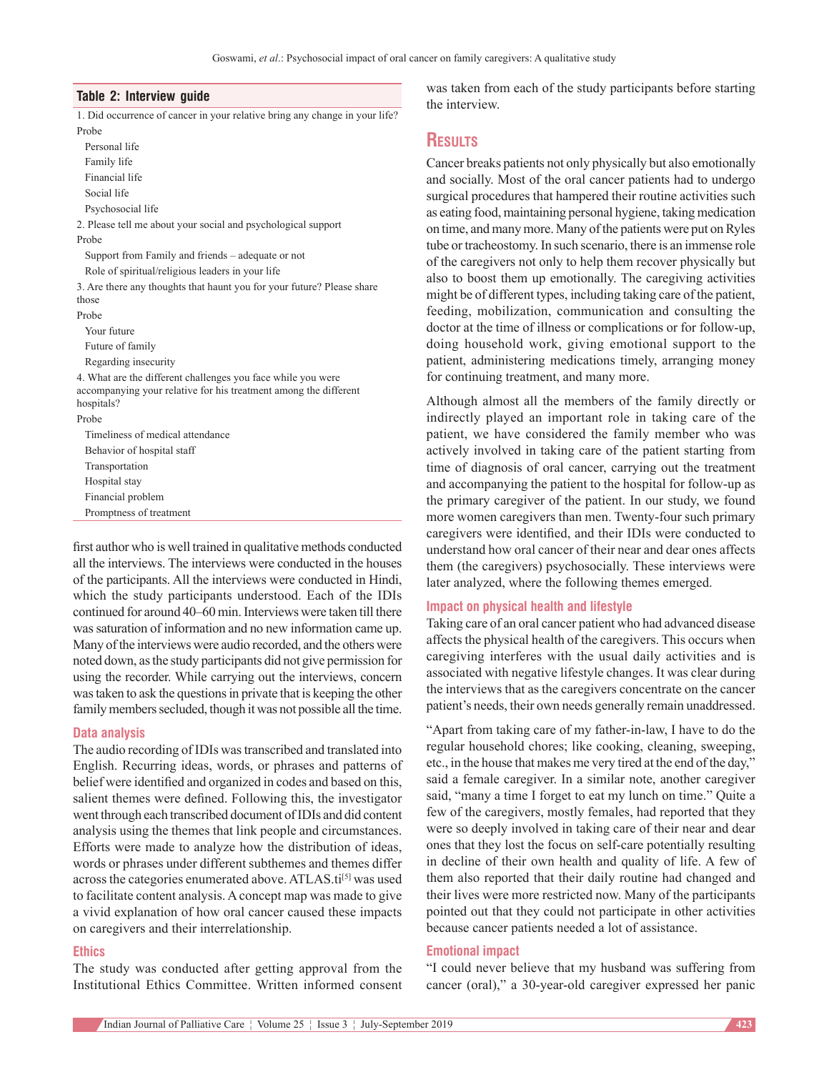#### **Table 2: Interview guide**

1. Did occurrence of cancer in your relative bring any change in your life? Probe

Personal life Family life Financial life Social life Psychosocial life 2. Please tell me about your social and psychological support Probe Support from Family and friends – adequate or not Role of spiritual/religious leaders in your life 3. Are there any thoughts that haunt you for your future? Please share those Probe Your future Future of family Regarding insecurity 4. What are the different challenges you face while you were accompanying your relative for his treatment among the different hospitals? Probe Timeliness of medical attendance Behavior of hospital staff Transportation Hospital stay Financial problem Promptness of treatment

first author who is well trained in qualitative methods conducted all the interviews. The interviews were conducted in the houses of the participants. All the interviews were conducted in Hindi, which the study participants understood. Each of the IDIs continued for around 40–60 min. Interviews were taken till there was saturation of information and no new information came up. Many of the interviews were audio recorded, and the others were noted down, as the study participants did not give permission for using the recorder. While carrying out the interviews, concern was taken to ask the questions in private that is keeping the other family members secluded, though it was not possible all the time.

#### **Data analysis**

The audio recording of IDIs was transcribed and translated into English. Recurring ideas, words, or phrases and patterns of belief were identified and organized in codes and based on this, salient themes were defined. Following this, the investigator went through each transcribed document of IDIs and did content analysis using the themes that link people and circumstances. Efforts were made to analyze how the distribution of ideas, words or phrases under different subthemes and themes differ across the categories enumerated above. ATLAS.ti<sup>[5]</sup> was used to facilitate content analysis. Aconcept map was made to give a vivid explanation of how oral cancer caused these impacts on caregivers and their interrelationship.

#### **Ethics**

The study was conducted after getting approval from the Institutional Ethics Committee. Written informed consent was taken from each of the study participants before starting the interview.

# **Results**

Cancer breaks patients not only physically but also emotionally and socially. Most of the oral cancer patients had to undergo surgical procedures that hampered their routine activities such as eating food, maintaining personal hygiene, taking medication on time, and many more. Many of the patients were put on Ryles tube or tracheostomy. In such scenario, there is an immense role of the caregivers not only to help them recover physically but also to boost them up emotionally. The caregiving activities might be of different types, including taking care of the patient, feeding, mobilization, communication and consulting the doctor at the time of illness or complications or for follow‑up, doing household work, giving emotional support to the patient, administering medications timely, arranging money for continuing treatment, and many more.

Although almost all the members of the family directly or indirectly played an important role in taking care of the patient, we have considered the family member who was actively involved in taking care of the patient starting from time of diagnosis of oral cancer, carrying out the treatment and accompanying the patient to the hospital for follow‑up as the primary caregiver of the patient. In our study, we found more women caregivers than men. Twenty-four such primary caregivers were identified, and their IDIs were conducted to understand how oral cancer of their near and dear ones affects them (the caregivers) psychosocially. These interviews were later analyzed, where the following themes emerged.

#### **Impact on physical health and lifestyle**

Taking care of an oral cancer patient who had advanced disease affects the physical health of the caregivers. This occurs when caregiving interferes with the usual daily activities and is associated with negative lifestyle changes. It was clear during the interviews that as the caregivers concentrate on the cancer patient's needs, their own needs generally remain unaddressed.

"Apart from taking care of my father‑in‑law, I have to do the regular household chores; like cooking, cleaning, sweeping, etc., in the house that makes me very tired at the end of the day," said a female caregiver. In a similar note, another caregiver said, "many a time I forget to eat my lunch on time." Quite a few of the caregivers, mostly females, had reported that they were so deeply involved in taking care of their near and dear ones that they lost the focus on self‑care potentially resulting in decline of their own health and quality of life. A few of them also reported that their daily routine had changed and their lives were more restricted now. Many of the participants pointed out that they could not participate in other activities because cancer patients needed a lot of assistance.

#### **Emotional impact**

"I could never believe that my husband was suffering from cancer (oral)," a 30‑year‑old caregiver expressed her panic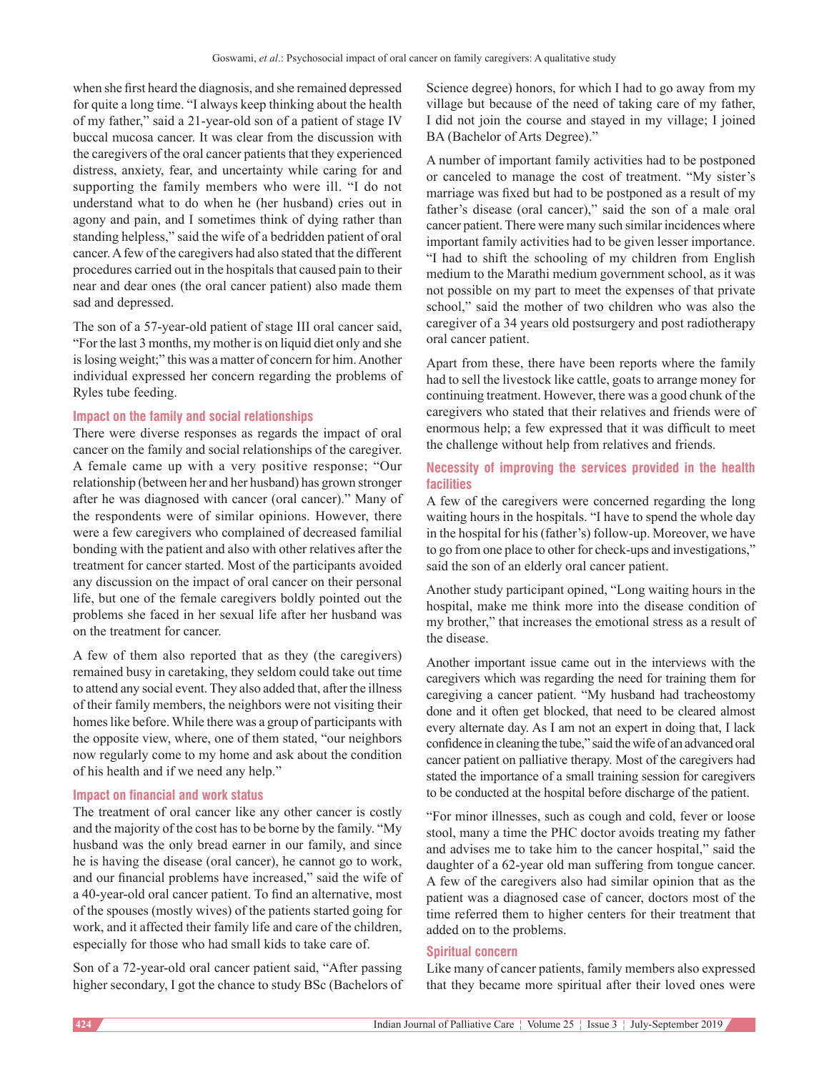when she first heard the diagnosis, and she remained depressed for quite a long time. "I always keep thinking about the health of my father," said a 21‑year‑old son of a patient of stage IV buccal mucosa cancer. It was clear from the discussion with the caregivers of the oral cancer patients that they experienced distress, anxiety, fear, and uncertainty while caring for and supporting the family members who were ill. "I do not understand what to do when he (her husband) cries out in agony and pain, and I sometimes think of dying rather than standing helpless," said the wife of a bedridden patient of oral cancer. Afew of the caregivers had also stated that the different procedures carried out in the hospitals that caused pain to their near and dear ones (the oral cancer patient) also made them sad and depressed.

The son of a 57-year-old patient of stage III oral cancer said, "For the last 3 months, my mother is on liquid diet only and she is losing weight;" this was a matter of concern for him. Another individual expressed her concern regarding the problems of Ryles tube feeding.

#### **Impact on the family and social relationships**

There were diverse responses as regards the impact of oral cancer on the family and social relationships of the caregiver. A female came up with a very positive response; "Our relationship (between her and her husband) has grown stronger after he was diagnosed with cancer (oral cancer)." Many of the respondents were of similar opinions. However, there were a few caregivers who complained of decreased familial bonding with the patient and also with other relatives after the treatment for cancer started. Most of the participants avoided any discussion on the impact of oral cancer on their personal life, but one of the female caregivers boldly pointed out the problems she faced in her sexual life after her husband was on the treatment for cancer.

A few of them also reported that as they (the caregivers) remained busy in caretaking, they seldom could take out time to attend any social event. They also added that, after the illness of their family members, the neighbors were not visiting their homes like before. While there was a group of participants with the opposite view, where, one of them stated, "our neighbors now regularly come to my home and ask about the condition of his health and if we need any help."

#### **Impact on financial and work status**

The treatment of oral cancer like any other cancer is costly and the majority of the cost has to be borne by the family. "My husband was the only bread earner in our family, and since he is having the disease (oral cancer), he cannot go to work, and our financial problems have increased," said the wife of a 40‑year‑old oral cancer patient. To find an alternative, most of the spouses (mostly wives) of the patients started going for work, and it affected their family life and care of the children, especially for those who had small kids to take care of.

Son of a 72‑year‑old oral cancer patient said, "After passing higher secondary, I got the chance to study BSc (Bachelors of Science degree) honors, for which I had to go away from my village but because of the need of taking care of my father, I did not join the course and stayed in my village; I joined BA (Bachelor of Arts Degree)."

A number of important family activities had to be postponed or canceled to manage the cost of treatment. "My sister's marriage was fixed but had to be postponed as a result of my father's disease (oral cancer)," said the son of a male oral cancer patient. There were many such similar incidences where important family activities had to be given lesser importance. "I had to shift the schooling of my children from English medium to the Marathi medium government school, as it was not possible on my part to meet the expenses of that private school," said the mother of two children who was also the caregiver of a 34 years old postsurgery and post radiotherapy oral cancer patient.

Apart from these, there have been reports where the family had to sell the livestock like cattle, goats to arrange money for continuing treatment. However, there was a good chunk of the caregivers who stated that their relatives and friends were of enormous help; a few expressed that it was difficult to meet the challenge without help from relatives and friends.

## **Necessity of improving the services provided in the health facilities**

A few of the caregivers were concerned regarding the long waiting hours in the hospitals. "I have to spend the whole day in the hospital for his (father's) follow-up. Moreover, we have to go from one place to other for check-ups and investigations," said the son of an elderly oral cancer patient.

Another study participant opined, "Long waiting hours in the hospital, make me think more into the disease condition of my brother," that increases the emotional stress as a result of the disease.

Another important issue came out in the interviews with the caregivers which was regarding the need for training them for caregiving a cancer patient. "My husband had tracheostomy done and it often get blocked, that need to be cleared almost every alternate day. As I am not an expert in doing that, I lack confidence in cleaning the tube," said the wife of an advanced oral cancer patient on palliative therapy. Most of the caregivers had stated the importance of a small training session for caregivers to be conducted at the hospital before discharge of the patient.

"For minor illnesses, such as cough and cold, fever or loose stool, many a time the PHC doctor avoids treating my father and advises me to take him to the cancer hospital," said the daughter of a 62‑year old man suffering from tongue cancer. A few of the caregivers also had similar opinion that as the patient was a diagnosed case of cancer, doctors most of the time referred them to higher centers for their treatment that added on to the problems.

### **Spiritual concern**

Like many of cancer patients, family members also expressed that they became more spiritual after their loved ones were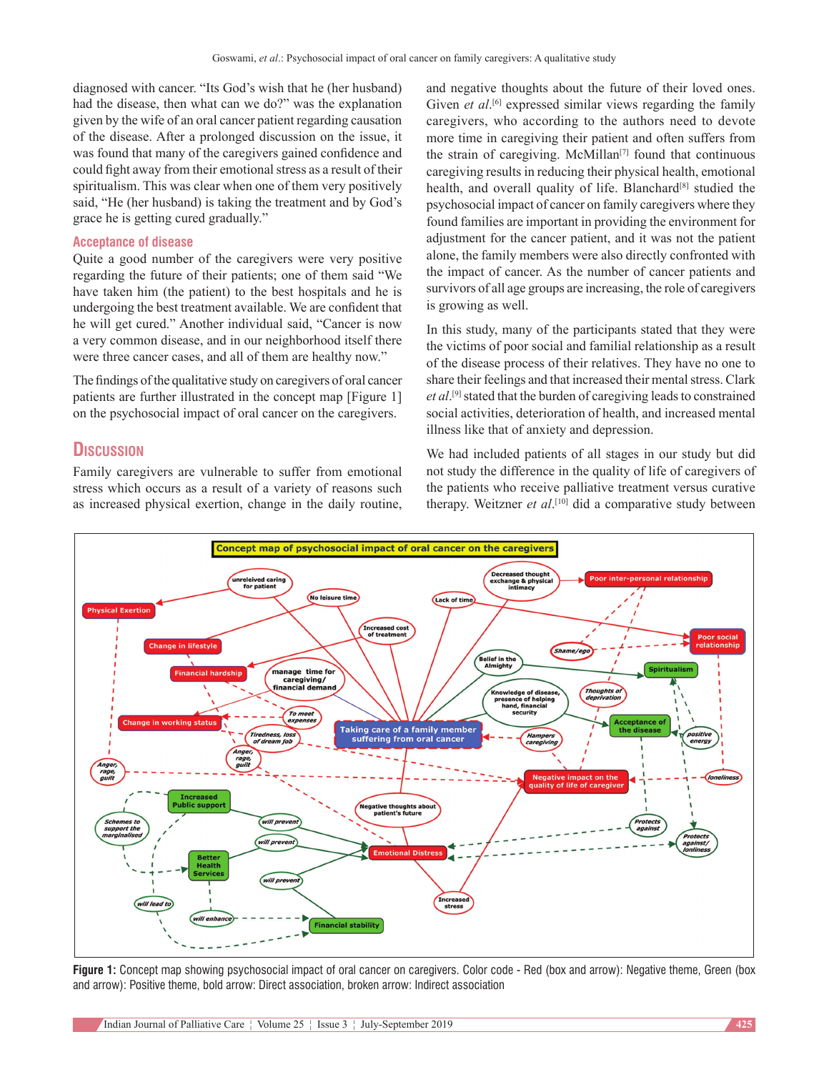diagnosed with cancer. "Its God's wish that he (her husband) had the disease, then what can we do?" was the explanation given by the wife of an oral cancer patient regarding causation of the disease. After a prolonged discussion on the issue, it was found that many of the caregivers gained confidence and could fight away from their emotional stress as a result of their spiritualism. This was clear when one of them very positively said, "He (her husband) is taking the treatment and by God's grace he is getting cured gradually."

# **Acceptance of disease**

Quite a good number of the caregivers were very positive regarding the future of their patients; one of them said "We have taken him (the patient) to the best hospitals and he is undergoing the best treatment available. We are confident that he will get cured." Another individual said, "Cancer is now a very common disease, and in our neighborhood itself there were three cancer cases, and all of them are healthy now."

The findings of the qualitative study on caregivers of oral cancer patients are further illustrated in the concept map [Figure 1] on the psychosocial impact of oral cancer on the caregivers.

# **Discussion**

Family caregivers are vulnerable to suffer from emotional stress which occurs as a result of a variety of reasons such as increased physical exertion, change in the daily routine, and negative thoughts about the future of their loved ones. Given *et al*.<sup>[6]</sup> expressed similar views regarding the family caregivers, who according to the authors need to devote more time in caregiving their patient and often suffers from the strain of caregiving. McMillan<sup>[7]</sup> found that continuous caregiving results in reducing their physical health, emotional health, and overall quality of life. Blanchard<sup>[8]</sup> studied the psychosocial impact of cancer on family caregivers where they found families are important in providing the environment for adjustment for the cancer patient, and it was not the patient alone, the family members were also directly confronted with the impact of cancer. As the number of cancer patients and survivors of all age groups are increasing, the role of caregivers is growing as well.

In this study, many of the participants stated that they were the victims of poor social and familial relationship as a result of the disease process of their relatives. They have no one to share their feelings and that increased their mental stress. Clark *et al*. [9] stated that the burden of caregiving leads to constrained social activities, deterioration of health, and increased mental illness like that of anxiety and depression.

We had included patients of all stages in our study but did not study the difference in the quality of life of caregivers of the patients who receive palliative treatment versus curative therapy. Weitzner *et al*. [10] did a comparative study between



**Figure 1:** Concept map showing psychosocial impact of oral cancer on caregivers. Color code - Red (box and arrow): Negative theme, Green (box and arrow): Positive theme, bold arrow: Direct association, broken arrow: Indirect association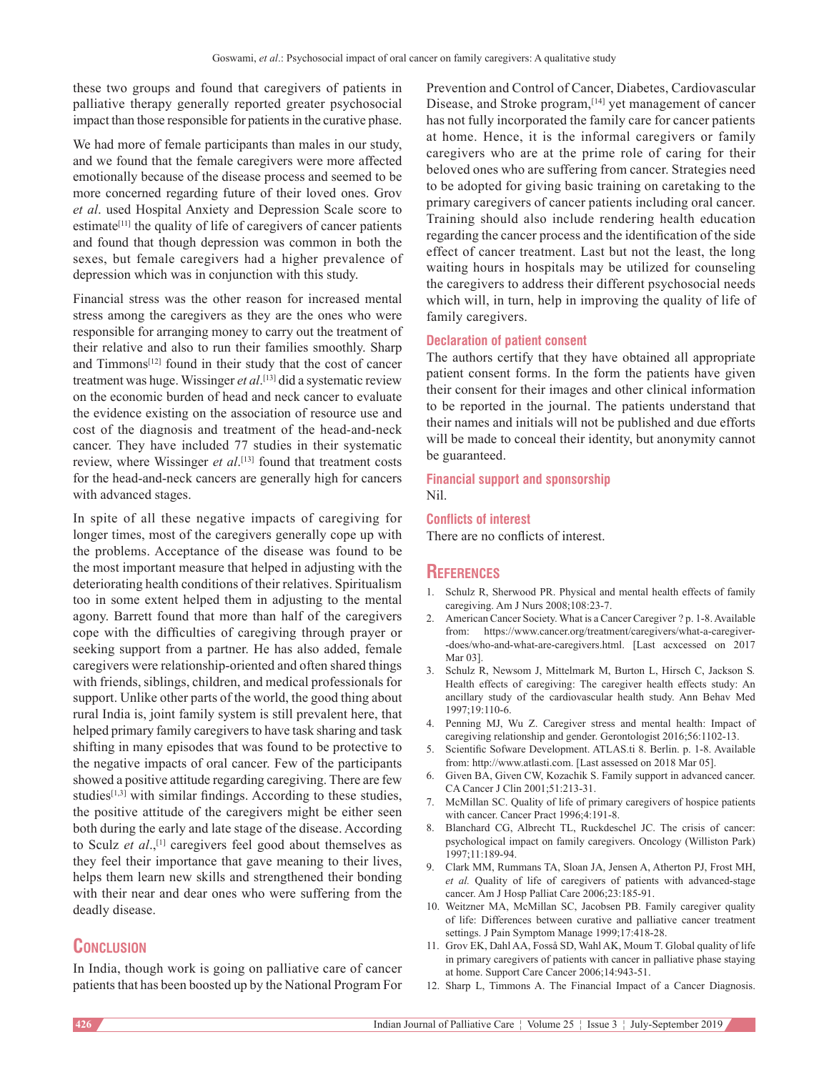these two groups and found that caregivers of patients in palliative therapy generally reported greater psychosocial impact than those responsible for patients in the curative phase.

We had more of female participants than males in our study, and we found that the female caregivers were more affected emotionally because of the disease process and seemed to be more concerned regarding future of their loved ones. Grov *et al*. used Hospital Anxiety and Depression Scale score to estimate $[11]$  the quality of life of caregivers of cancer patients and found that though depression was common in both the sexes, but female caregivers had a higher prevalence of depression which was in conjunction with this study.

Financial stress was the other reason for increased mental stress among the caregivers as they are the ones who were responsible for arranging money to carry out the treatment of their relative and also to run their families smoothly. Sharp and Timmons<sup>[12]</sup> found in their study that the cost of cancer treatment was huge. Wissinger *et al*. [13] did a systematic review on the economic burden of head and neck cancer to evaluate the evidence existing on the association of resource use and cost of the diagnosis and treatment of the head-and-neck cancer. They have included 77 studies in their systematic review, where Wissinger *et al*. [13] found that treatment costs for the head-and-neck cancers are generally high for cancers with advanced stages.

In spite of all these negative impacts of caregiving for longer times, most of the caregivers generally cope up with the problems. Acceptance of the disease was found to be the most important measure that helped in adjusting with the deteriorating health conditions of their relatives. Spiritualism too in some extent helped them in adjusting to the mental agony. Barrett found that more than half of the caregivers cope with the difficulties of caregiving through prayer or seeking support from a partner. He has also added, female caregivers were relationship‑oriented and often shared things with friends, siblings, children, and medical professionals for support. Unlike other parts of the world, the good thing about rural India is, joint family system is still prevalent here, that helped primary family caregivers to have task sharing and task shifting in many episodes that was found to be protective to the negative impacts of oral cancer. Few of the participants showed a positive attitude regarding caregiving. There are few studies $[1,3]$  with similar findings. According to these studies, the positive attitude of the caregivers might be either seen both during the early and late stage of the disease. According to Sculz *et al*.,[1] caregivers feel good about themselves as they feel their importance that gave meaning to their lives, helps them learn new skills and strengthened their bonding with their near and dear ones who were suffering from the deadly disease.

# **Conclusion**

In India, though work is going on palliative care of cancer patients that has been boosted up by the National Program For Prevention and Control of Cancer, Diabetes, Cardiovascular Disease, and Stroke program,<sup>[14]</sup> yet management of cancer has not fully incorporated the family care for cancer patients at home. Hence, it is the informal caregivers or family caregivers who are at the prime role of caring for their beloved ones who are suffering from cancer. Strategies need to be adopted for giving basic training on caretaking to the primary caregivers of cancer patients including oral cancer. Training should also include rendering health education regarding the cancer process and the identification of the side effect of cancer treatment. Last but not the least, the long waiting hours in hospitals may be utilized for counseling the caregivers to address their different psychosocial needs which will, in turn, help in improving the quality of life of family caregivers.

#### **Declaration of patient consent**

The authors certify that they have obtained all appropriate patient consent forms. In the form the patients have given their consent for their images and other clinical information to be reported in the journal. The patients understand that their names and initials will not be published and due efforts will be made to conceal their identity, but anonymity cannot be guaranteed.

#### **Financial support and sponsorship** Nil.

**Conflicts of interest**

There are no conflicts of interest.

# **References**

- 1. Schulz R, Sherwood PR. Physical and mental health effects of family caregiving. Am J Nurs 2008;108:23‑7.
- 2. American Cancer Society. What is a Cancer Caregiver ? p. 1‑8. Available from: https://www.cancer.org/treatment/caregivers/what-a-caregiver--does/who-and-what-are-caregivers.html. [Last acxcessed on 2017 Mar 03].
- 3. Schulz R, Newsom J, Mittelmark M, Burton L, Hirsch C, Jackson S*.* Health effects of caregiving: The caregiver health effects study: An ancillary study of the cardiovascular health study. Ann Behav Med 1997;19:110‑6.
- 4. Penning MJ, Wu Z. Caregiver stress and mental health: Impact of caregiving relationship and gender. Gerontologist 2016;56:1102-13.
- 5. Scientific Sofware Development. ATLAS.ti 8. Berlin. p. 1‑8. Available from: http://www.atlasti.com. [Last assessed on 2018 Mar 05].
- 6. Given BA, Given CW, Kozachik S. Family support in advanced cancer. CA Cancer J Clin 2001;51:213‑31.
- 7. McMillan SC. Quality of life of primary caregivers of hospice patients with cancer. Cancer Pract 1996;4:191-8.
- 8. Blanchard CG, Albrecht TL, Ruckdeschel JC. The crisis of cancer: psychological impact on family caregivers. Oncology (Williston Park) 1997;11:189-94.
- 9. Clark MM, Rummans TA, Sloan JA, Jensen A, Atherton PJ, Frost MH, et al. Quality of life of caregivers of patients with advanced-stage cancer. Am J Hosp Palliat Care 2006;23:185-91.
- 10. Weitzner MA, McMillan SC, Jacobsen PB. Family caregiver quality of life: Differences between curative and palliative cancer treatment settings. J Pain Symptom Manage 1999;17:418-28.
- 11. Grov EK, Dahl AA, Fosså SD, Wahl AK, Moum T. Global quality of life in primary caregivers of patients with cancer in palliative phase staying at home. Support Care Cancer 2006;14:943-51.
- 12. Sharp L, Timmons A. The Financial Impact of a Cancer Diagnosis.